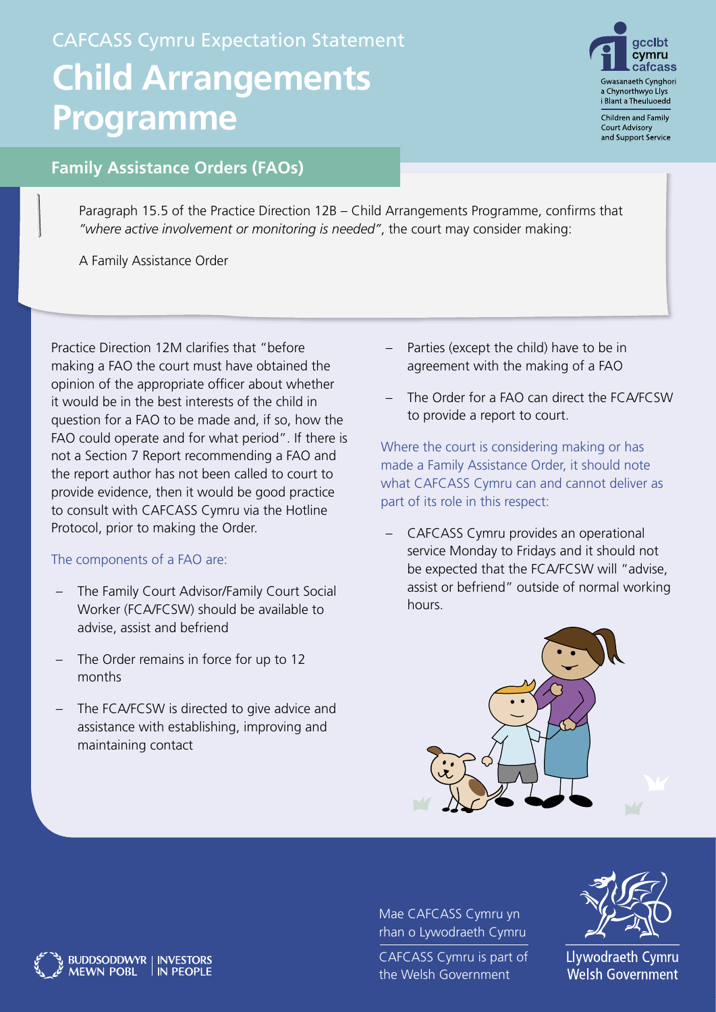## CAFCASS Cymru Expectation Statement **Child Arrangements Programme**



Children and Family **Court Advisory** and Support Service

## **Family Assistance Orders (FAOs)**

Paragraph 15.5 of the Practice Direction 12B – Child Arrangements Programme, confirms that *"where active involvement or monitoring is needed"*, the court may consider making:

A Family Assistance Order

Practice Direction 12M clarifies that "before making a FAO the court must have obtained the opinion of the appropriate officer about whether it would be in the best interests of the child in question for a FAO to be made and, if so, how the FAO could operate and for what period". If there is not a Section 7 Report recommending a FAO and the report author has not been called to court to provide evidence, then it would be good practice to consult with CAFCASS Cymru via the Hotline Protocol, prior to making the Order.

## The components of a FAO are:

**BUDDSODDWYR | INVESTORS** 

IN PEOPLE

**MEWN POBL** 

- The Family Court Advisor/Family Court Social Worker (FCA/FCSW) should be available to advise, assist and befriend
- The Order remains in force for up to 12 months
- The FCA/FCSW is directed to give advice and assistance with establishing, improving and maintaining contact
- Parties (except the child) have to be in agreement with the making of a FAO
- The Order for a FAO can direct the FCA/FCSW to provide a report to court.

Where the court is considering making or has made a Family Assistance Order, it should note what CAFCASS Cymru can and cannot deliver as part of its role in this respect:

– CAFCASS Cymru provides an operational service Monday to Fridays and it should not be expected that the FCA/FCSW will "advise, assist or befriend" outside of normal working hours.



Mae CAFCASS Cymru yn rhan o Lywodraeth Cymru

CAFCASS Cymru is part of the Welsh Government



Llywodraeth Cymru **Welsh Government**